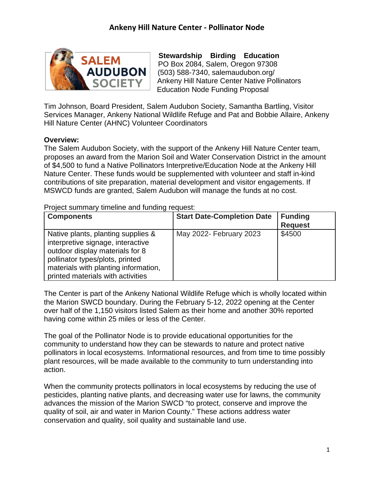

**Stewardship Birding Education**  PO Box 2084, Salem, Oregon 97308 (503) 588-7340, [salemaudubon.org/](https://salemaudubon.org/) Ankeny Hill Nature Center Native Pollinators Education Node Funding Proposal

Tim Johnson, Board President, Salem Audubon Society, Samantha Bartling, Visitor Services Manager, Ankeny National Wildlife Refuge and Pat and Bobbie Allaire, Ankeny Hill Nature Center (AHNC) Volunteer Coordinators

#### **Overview:**

The Salem Audubon Society, with the support of the Ankeny Hill Nature Center team, proposes an award from the Marion Soil and Water Conservation District in the amount of \$4,500 to fund a Native Pollinators Interpretive/Education Node at the Ankeny Hill Nature Center. These funds would be supplemented with volunteer and staff in-kind contributions of site preparation, material development and visitor engagements. If MSWCD funds are granted, Salem Audubon will manage the funds at no cost.

Project summary timeline and funding request:

| <b>Components</b>                                                                                                                                                                                                          | <b>Start Date-Completion Date</b> | <b>Funding</b><br><b>Request</b> |
|----------------------------------------------------------------------------------------------------------------------------------------------------------------------------------------------------------------------------|-----------------------------------|----------------------------------|
| Native plants, planting supplies &<br>interpretive signage, interactive<br>outdoor display materials for 8<br>pollinator types/plots, printed<br>materials with planting information,<br>printed materials with activities | May 2022- February 2023           | \$4500                           |

The Center is part of the Ankeny National Wildlife Refuge which is wholly located within the Marion SWCD boundary. During the February 5-12, 2022 opening at the Center over half of the 1,150 visitors listed Salem as their home and another 30% reported having come within 25 miles or less of the Center.

The goal of the Pollinator Node is to provide educational opportunities for the community to understand how they can be stewards to nature and protect native pollinators in local ecosystems. Informational resources, and from time to time possibly plant resources, will be made available to the community to turn understanding into action.

When the community protects pollinators in local ecosystems by reducing the use of pesticides, planting native plants, and decreasing water use for lawns, the community advances the mission of the Marion SWCD "to protect, conserve and improve the quality of soil, air and water in Marion County." These actions address water conservation and quality, soil quality and sustainable land use.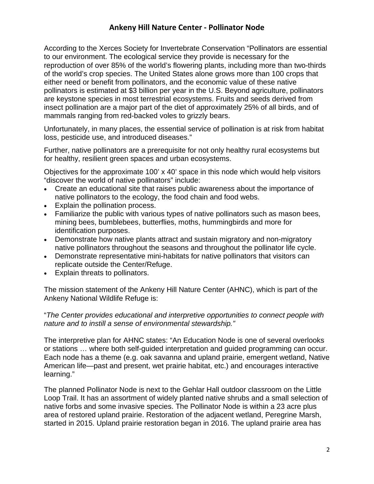According to the Xerces Society for Invertebrate Conservation "Pollinators are essential to our environment. The ecological service they provide is necessary for the reproduction of over 85% of the world's flowering plants, including more than two-thirds of the world's crop species. The United States alone grows more than 100 crops that either need or benefit from pollinators, and the economic value of these native pollinators is estimated at \$3 billion per year in the U.S. Beyond agriculture, pollinators are keystone species in most terrestrial ecosystems. Fruits and seeds derived from insect pollination are a major part of the diet of approximately 25% of all birds, and of mammals ranging from red-backed voles to grizzly bears.

Unfortunately, in many places, the essential service of pollination is at risk from habitat loss, pesticide use, and introduced diseases."

Further, native pollinators are a prerequisite for not only healthy rural ecosystems but for healthy, resilient green spaces and urban ecosystems.

Objectives for the approximate 100' x 40' space in this node which would help visitors "discover the world of native pollinators" include:

- Create an educational site that raises public awareness about the importance of native pollinators to the ecology, the food chain and food webs.
- Explain the pollination process.
- Familiarize the public with various types of native pollinators such as mason bees, mining bees, bumblebees, butterflies, moths, hummingbirds and more for identification purposes.
- Demonstrate how native plants attract and sustain migratory and non-migratory native pollinators throughout the seasons and throughout the pollinator life cycle.
- Demonstrate representative mini-habitats for native pollinators that visitors can replicate outside the Center/Refuge.
- Explain threats to pollinators.

The mission statement of the Ankeny Hill Nature Center (AHNC), which is part of the Ankeny National Wildlife Refuge is:

#### "*The Center provides educational and interpretive opportunities to connect people with nature and to instill a sense of environmental stewardship."*

The interpretive plan for AHNC states: "An Education Node is one of several overlooks or stations … where both self-guided interpretation and guided programming can occur. Each node has a theme (e.g. oak savanna and upland prairie, emergent wetland, Native American life—past and present, wet prairie habitat, etc.) and encourages interactive learning."

The planned Pollinator Node is next to the Gehlar Hall outdoor classroom on the Little Loop Trail. It has an assortment of widely planted native shrubs and a small selection of native forbs and some invasive species. The Pollinator Node is within a 23 acre plus area of restored upland prairie. Restoration of the adjacent wetland, Peregrine Marsh, started in 2015. Upland prairie restoration began in 2016. The upland prairie area has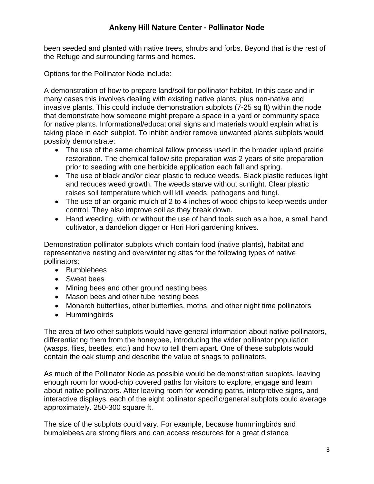been seeded and planted with native trees, shrubs and forbs. Beyond that is the rest of the Refuge and surrounding farms and homes.

Options for the Pollinator Node include:

A demonstration of how to prepare land/soil for pollinator habitat. In this case and in many cases this involves dealing with existing native plants, plus non-native and invasive plants. This could include demonstration subplots (7-25 sq ft) within the node that demonstrate how someone might prepare a space in a yard or community space for native plants. Informational/educational signs and materials would explain what is taking place in each subplot. To inhibit and/or remove unwanted plants subplots would possibly demonstrate:

- The use of the same chemical fallow process used in the broader upland prairie restoration. The chemical fallow site preparation was 2 years of site preparation prior to seeding with one herbicide application each fall and spring.
- The use of black and/or clear plastic to reduce weeds. Black plastic reduces light and reduces weed growth. The weeds starve without sunlight. Clear plastic raises soil temperature which will kill weeds, pathogens and fungi.
- The use of an organic mulch of 2 to 4 inches of wood chips to keep weeds under control. They also improve soil as they break down.
- Hand weeding, with or without the use of hand tools such as a hoe, a small hand cultivator, a dandelion digger or Hori Hori gardening knives.

Demonstration pollinator subplots which contain food (native plants), habitat and representative nesting and overwintering sites for the following types of native pollinators:

- Bumblebees
- Sweat bees
- Mining bees and other ground nesting bees
- Mason bees and other tube nesting bees
- Monarch butterflies, other butterflies, moths, and other night time pollinators
- Hummingbirds

The area of two other subplots would have general information about native pollinators, differentiating them from the honeybee, introducing the wider pollinator population (wasps, flies, beetles, etc.) and how to tell them apart. One of these subplots would contain the oak stump and describe the value of snags to pollinators.

As much of the Pollinator Node as possible would be demonstration subplots, leaving enough room for wood-chip covered paths for visitors to explore, engage and learn about native pollinators. After leaving room for wending paths, interpretive signs, and interactive displays, each of the eight pollinator specific/general subplots could average approximately. 250-300 square ft.

The size of the subplots could vary. For example, because hummingbirds and bumblebees are strong fliers and can access resources for a great distance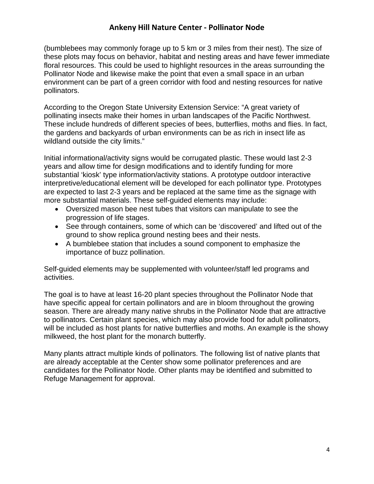(bumblebees may commonly forage up to 5 km or 3 miles from their nest). The size of these plots may focus on behavior, habitat and nesting areas and have fewer immediate floral resources. This could be used to highlight resources in the areas surrounding the Pollinator Node and likewise make the point that even a small space in an urban environment can be part of a green corridor with food and nesting resources for native pollinators.

According to the Oregon State University Extension Service: "A great variety of pollinating insects make their homes in urban landscapes of the Pacific Northwest. These include hundreds of different species of bees, butterflies, moths and flies. In fact, the gardens and backyards of urban environments can be as rich in insect life as wildland outside the city limits."

Initial informational/activity signs would be corrugated plastic. These would last 2-3 years and allow time for design modifications and to identify funding for more substantial 'kiosk' type information/activity stations. A prototype outdoor interactive interpretive/educational element will be developed for each pollinator type. Prototypes are expected to last 2-3 years and be replaced at the same time as the signage with more substantial materials. These self-guided elements may include:

- Oversized mason bee nest tubes that visitors can manipulate to see the progression of life stages.
- See through containers, some of which can be 'discovered' and lifted out of the ground to show replica ground nesting bees and their nests.
- A bumblebee station that includes a sound component to emphasize the importance of buzz pollination.

Self-guided elements may be supplemented with volunteer/staff led programs and activities.

The goal is to have at least 16-20 plant species throughout the Pollinator Node that have specific appeal for certain pollinators and are in bloom throughout the growing season. There are already many native shrubs in the Pollinator Node that are attractive to pollinators. Certain plant species, which may also provide food for adult pollinators, will be included as host plants for native butterflies and moths. An example is the showy milkweed, the host plant for the monarch butterfly.

Many plants attract multiple kinds of pollinators. The following list of native plants that are already acceptable at the Center show some pollinator preferences and are candidates for the Pollinator Node. Other plants may be identified and submitted to Refuge Management for approval.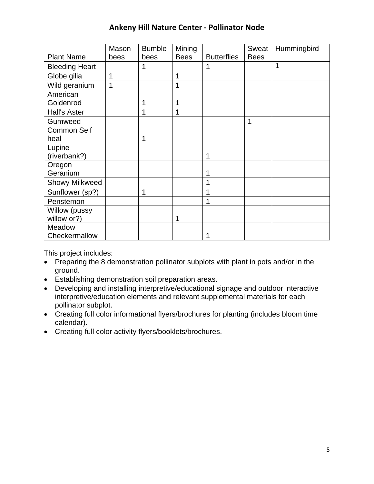|                       | Mason | <b>Bumble</b> | Mining      |                    | Sweat       | Hummingbird |
|-----------------------|-------|---------------|-------------|--------------------|-------------|-------------|
| <b>Plant Name</b>     | bees  | bees          | <b>Bees</b> | <b>Butterflies</b> | <b>Bees</b> |             |
| <b>Bleeding Heart</b> |       | 1             |             |                    |             | 1           |
| Globe gilia           | 1     |               |             |                    |             |             |
| Wild geranium         | 1     |               |             |                    |             |             |
| American              |       |               |             |                    |             |             |
| Goldenrod             |       |               |             |                    |             |             |
| Hall's Aster          |       | 1             |             |                    |             |             |
| Gumweed               |       |               |             |                    | 1           |             |
| <b>Common Self</b>    |       |               |             |                    |             |             |
| heal                  |       | 1             |             |                    |             |             |
| Lupine                |       |               |             |                    |             |             |
| (riverbank?)          |       |               |             |                    |             |             |
| Oregon                |       |               |             |                    |             |             |
| Geranium              |       |               |             |                    |             |             |
| <b>Showy Milkweed</b> |       |               |             |                    |             |             |
| Sunflower (sp?)       |       | 1             |             |                    |             |             |
| Penstemon             |       |               |             | 1                  |             |             |
| Willow (pussy         |       |               |             |                    |             |             |
| willow or?)           |       |               |             |                    |             |             |
| Meadow                |       |               |             |                    |             |             |
| Checkermallow         |       |               |             |                    |             |             |

This project includes:

- Preparing the 8 demonstration pollinator subplots with plant in pots and/or in the ground.
- Establishing demonstration soil preparation areas.
- Developing and installing interpretive/educational signage and outdoor interactive interpretive/education elements and relevant supplemental materials for each pollinator subplot.
- Creating full color informational flyers/brochures for planting (includes bloom time calendar).
- Creating full color activity flyers/booklets/brochures.